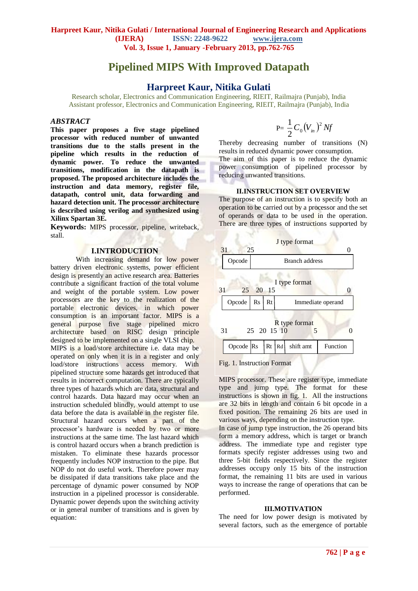# **Pipelined MIPS With Improved Datapath**

# **Harpreet Kaur, Nitika Gulati**

Research scholar, Electronics and Communication Engineering, RIEIT, Railmajra (Punjab), India Assistant professor, Electronics and Communication Engineering, RIEIT, Railmajra (Punjab), India

### *ABSTRACT*

**This paper proposes a five stage pipelined processor with reduced number of unwanted transitions due to the stalls present in the pipeline which results in the reduction of dynamic power. To reduce the unwanted transitions, modification in the datapath is proposed. The proposed architecture includes the instruction and data memory, register file, datapath, control unit, data forwarding and hazard detection unit. The processor architecture is described using verilog and synthesized using Xilinx Spartan 3E.**

**Keywords:** MIPS processor, pipeline, writeback, stall.

### **I.INTRODUCTION**

With increasing demand for low power battery driven electronic systems, power efficient design is presently an active research area. Batteries contribute a significant fraction of the total volume and weight of the portable system. Low power processors are the key to the realization of the portable electronic devices, in which power consumption is an important factor. MIPS is a general purpose five stage pipelined micro architecture based on RISC design principle designed to be implemented on a single VLSI chip. MIPS is a load/store architecture i.e. data may be operated on only when it is in a register and only load/store instructions access memory. With pipelined structure some hazards get introduced that results in incorrect computation. There are typically three types of hazards which are data, structural and control hazards. Data hazard may occur when an instruction scheduled blindly, would attempt to use data before the data is available in the register file. Structural hazard occurs when a part of the processor's hardware is needed by two or more instructions at the same time. The last hazard which is control hazard occurs when a branch prediction is mistaken. To eliminate these hazards processor frequently includes NOP instruction to the pipe. But NOP do not do useful work. Therefore power may be dissipated if data transitions take place and the percentage of dynamic power consumed by NOP instruction in a pipelined processor is considerable. Dynamic power depends upon the switching activity or in general number of transitions and is given by equation:

$$
P = \frac{1}{2} C_0 (V_{in})^2 Nf
$$

Thereby decreasing number of transitions (N) results in reduced dynamic power consumption. The aim of this paper is to reduce the dynamic power consumption of pipelined processor by reducing unwanted transitions.

### **II.INSTRUCTION SET OVERVIEW**

The purpose of an instruction is to specify both an operation to be carried out by a processor and the set of operands or data to be used in the operation. There are three types of instructions supported by



Fig. 1. Instruction Format

MIPS processor. These are register type, immediate type and jump type. The format for these instructions is shown in fig. 1. All the instructions are 32 bits in length and contain 6 bit opcode in a fixed position. The remaining 26 bits are used in various ways, depending on the instruction type.

In case of jump type instruction, the 26 operand bits form a memory address, which is target or branch address. The immediate type and register type formats specify register addresses using two and three 5-bit fields respectively. Since the register addresses occupy only 15 bits of the instruction format, the remaining 11 bits are used in various ways to increase the range of operations that can be performed.

#### **III.MOTIVATION**

The need for low power design is motivated by several factors, such as the emergence of portable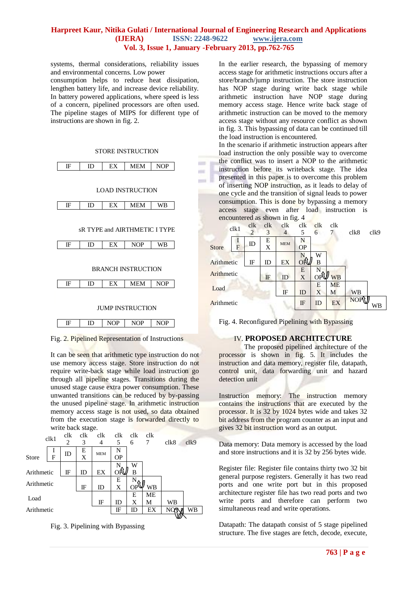# **Harpreet Kaur, Nitika Gulati / International Journal of Engineering Research and Applications (IJERA) ISSN: 2248-9622 www.ijera.com Vol. 3, Issue 1, January -February 2013, pp.762-765**

 $\sim$ in.

systems, thermal considerations, reliability issues and environmental concerns. Low power

consumption helps to reduce heat dissipation, lengthen battery life, and increase device reliability. In battery powered applications, where speed is less of a concern, pipelined processors are often used. The pipeline stages of MIPS for different type of instructions are shown in fig. 2.

#### STORE INSTRUCTION



Fig. 2. Pipelined Representation of Instructions

It can be seen that arithmetic type instruction do not use memory access stage. Store instruction do not require write-back stage while load instruction go through all pipeline stages. Transitions during the unused stage cause extra power consumption. These unwanted transitions can be reduced by by-passing the unused pipeline stage. In arithmetic instruction memory access stage is not used, so data obtained from the execution stage is forwarded directly to write back stage.

|              | clk1 | clk            | clk | clk        | clk       | clk | clk |      |      |
|--------------|------|----------------|-----|------------|-----------|-----|-----|------|------|
|              |      | $\overline{c}$ | 3   | 4          | 5         | 6   | 7   | clk8 | clk9 |
|              | 1    | ID             | E   | <b>MEM</b> | N         |     |     |      |      |
| <b>Store</b> | F    |                | X   |            | <b>OP</b> |     |     |      |      |
|              |      |                |     |            |           | W   |     |      |      |
| Arithmetic   |      | IF             | ID  | EX         | ΟŘ        | B   |     |      |      |
| Arithmetic   |      |                |     | E          |           |     |     |      |      |
|              |      |                | IF  | ID         | X         | OΡ  | WB  |      |      |
| Load         |      |                |     |            | Е         | ME  |     |      |      |
|              |      |                | IF  | ID         | X         | М   | WВ  |      |      |
| Arithmetic   |      |                |     | IF         | ID        | EX  | NOV | WВ   |      |
|              |      |                |     |            |           |     |     |      |      |



In the earlier research, the bypassing of memory access stage for arithmetic instructions occurs after a store/branch/jump instruction. The store instruction has NOP stage during write back stage while arithmetic instruction have NOP stage during memory access stage. Hence write back stage of arithmetic instruction can be moved to the memory access stage without any resource conflict as shown in fig. 3. This bypassing of data can be continued till the load instruction is encountered.

In the scenario if arithmetic instruction appears after load instruction the only possible way to overcome the conflict was to insert a NOP to the arithmetic instruction before its writeback stage. The idea presented in this paper is to overcome this problem of inserting NOP instruction, as it leads to delay of one cycle and the transition of signal leads to power consumption. This is done by bypassing a memory access stage even after load instruction is encountered as shown in fig. 4

|              | clk1                    | $_{\rm{clk}}$<br>$\overline{2}$ | $_{\rm{clk}}$<br>3 | $_{\rm{clk}}$<br>4 | $_{\rm{clk}}$<br>5 | clk<br>6 | clk       | clk8       | clk9 |
|--------------|-------------------------|---------------------------------|--------------------|--------------------|--------------------|----------|-----------|------------|------|
| <b>Store</b> | 1<br>$\bar{\mathrm{F}}$ | ID                              | E<br>X             | <b>MEM</b>         | N<br><b>OP</b>     |          |           |            |      |
| Arithmetic   |                         | IF                              | ID                 | EX                 | ОŔ                 | W<br>В   |           |            |      |
| Arithmetic   |                         |                                 | IF                 | ID                 | E<br>X             | N<br>OP  | <b>WB</b> |            |      |
| Load         |                         |                                 | $_{\rm IF}$        | ID                 | Е<br>X             | ME<br>М  | WB        |            |      |
| Arithmetic   |                         |                                 |                    |                    | IF                 | ID       | EX        | <b>NOP</b> | WB   |

Fig. 4. Reconfigured Pipelining with Bypassing

# IV. **PROPOSED ARCHITECTURE**

The proposed pipelined architecture of the processor is shown in fig. 5. It includes the instruction and data memory, register file, datapath, control unit, data forwarding unit and hazard detection unit

Instruction memory: The instruction memory contains the instructions that are executed by the processor. It is 32 by 1024 bytes wide and takes 32 bit address from the program counter as an input and gives 32 bit instruction word as an output.

Data memory: Data memory is accessed by the load and store instructions and it is 32 by 256 bytes wide.

Register file: Register file contains thirty two 32 bit general purpose registers. Generally it has two read ports and one write port but in this proposed architecture register file has two read ports and two write ports and therefore can perform two simultaneous read and write operations.

Datapath: The datapath consist of 5 stage pipelined structure. The five stages are fetch, decode, execute,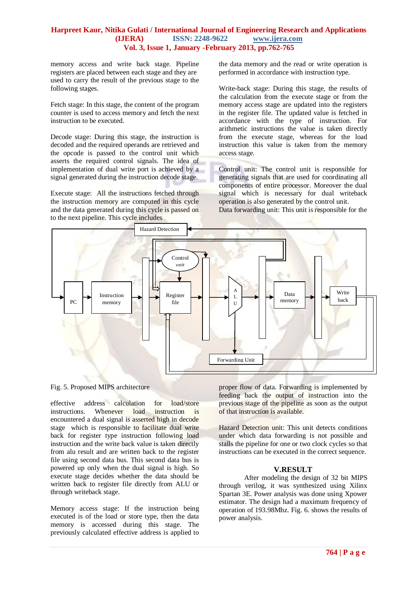# **Harpreet Kaur, Nitika Gulati / International Journal of Engineering Research and Applications (IJERA) ISSN: 2248-9622 www.ijera.com Vol. 3, Issue 1, January -February 2013, pp.762-765**

memory access and write back stage. Pipeline registers are placed between each stage and they are used to carry the result of the previous stage to the following stages.

Fetch stage: In this stage, the content of the program counter is used to access memory and fetch the next instruction to be executed.

Decode stage: During this stage, the instruction is decoded and the required operands are retrieved and the opcode is passed to the control unit which asserts the required control signals. The idea of implementation of dual write port is achieved by a signal generated during the instruction decode stage.

Execute stage: All the instructions fetched through the instruction memory are computed in this cycle and the data generated during this cycle is passed on to the next pipeline. This cycle includes

the data memory and the read or write operation is performed in accordance with instruction type.

Write-back stage: During this stage, the results of the calculation from the execute stage or from the memory access stage are updated into the registers in the register file. The updated value is fetched in accordance with the type of instruction. For arithmetic instructions the value is taken directly from the execute stage, whereas for the load instruction this value is taken from the memory access stage.

Control unit: The control unit is responsible for generating signals that are used for coordinating all components of entire processor. Moreover the dual signal which is necessary for dual writeback operation is also generated by the control unit.

Data forwarding unit: This unit is responsible for the



Fig. 5. Proposed MIPS architecture

effective address calculation for load/store instructions. Whenever load instruction is encountered a dual signal is asserted high in decode stage which is responsible to facilitate dual write back for register type instruction following load instruction and the write back value is taken directly from alu result and are written back to the register file using second data bus. This second data bus is powered up only when the dual signal is high. So execute stage decides whether the data should be written back to register file directly from ALU or through writeback stage.

Memory access stage: If the instruction being executed is of the load or store type, then the data memory is accessed during this stage. The previously calculated effective address is applied to proper flow of data. Forwarding is implemented by feeding back the output of instruction into the previous stage of the pipeline as soon as the output of that instruction is available.

Hazard Detection unit: This unit detects conditions under which data forwarding is not possible and stalls the pipeline for one or two clock cycles so that instructions can be executed in the correct sequence.

# **V.RESULT**

After modeling the design of 32 bit MIPS through verilog, it was synthesized using Xilinx Spartan 3E. Power analysis was done using Xpower estimator. The design had a maximum frequency of operation of 193.98Mhz. Fig. 6. shows the results of power analysis.